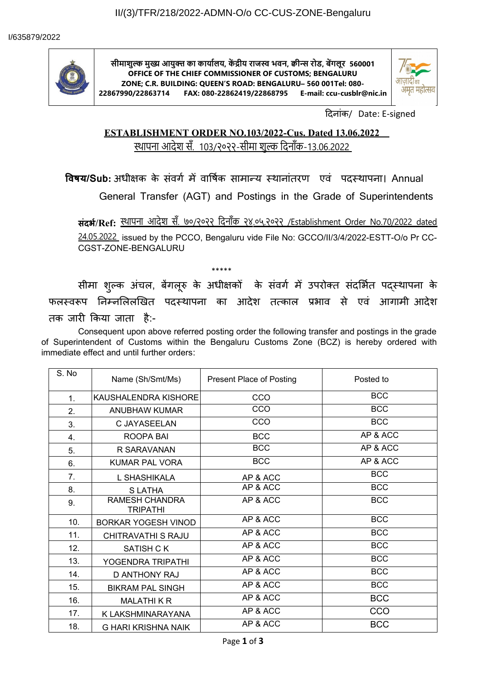

**सीमाशुल्क मुख्य आयुक्त्त का कार्यालय, कें द्रीय राजस्व भवन, क्वीन्स रोड, बेंगलूर 560001 OFFICE OF THE CHIEF COMMISSIONER OF CUSTOMS; BENGALURU ZONE; C.R. BUILDING: QUEEN'S ROAD: BENGALURU– 560 001Tel: 080- 22867990/22863714 FAX: 080-22862419/22868795 E-mail: ccu-cusblr@nic.in**



दिनांक/ Date: E-signed

# **ESTABLISHMENT ORDER NO.103/2022-Cus. Dated 13.06.2022**  स्थापना आदेश सँ. 103/२०२२-सीमा शुल्क दिनाँक-13.06.2022

**विषय/Sub:** अधीक्षक के संवर्ग में वार्षिक सामान्य स्थानांतरण एवं पदस्थापना। Annual

General Transfer (AGT) and Postings in the Grade of Superintendents

**संदर्भ/Ref:** स्थापना आदेश सँ. ७०/२०२२ दिनाँक २४.०५.२०२२ /Establishment Order No.70/2022 dated

24.05.2022 issued by the PCCO, Bengaluru vide File No: GCCO/II/3/4/2022-ESTT-O/o Pr CC-CGST-ZONE-BENGALURU

\*\*\*\*\* सीमा शुल्क अचल, बेगलूरु के अधीक्षकों के सवगे में उपरोक्त सर्दाभैत पद्स्थापना के फलस्वरूप निम्नलिलोखेत पदस्थापना का आदेश तत्काल प्रभाव से एव आगामीं आदेश तक जारी किया जाता है:-

Consequent upon above referred posting order the following transfer and postings in the grade of Superintendent of Customs within the Bengaluru Customs Zone (BCZ) is hereby ordered with immediate effect and until further orders:

| S. No | Name (Sh/Smt/Ms)                         | <b>Present Place of Posting</b> | Posted to  |
|-------|------------------------------------------|---------------------------------|------------|
| 1.    | KAUSHALENDRA KISHORE                     | CCO                             | <b>BCC</b> |
| 2.    | <b>ANUBHAW KUMAR</b>                     | CCO                             | <b>BCC</b> |
| 3.    | C JAYASEELAN                             | CCO                             | <b>BCC</b> |
| 4.    | ROOPA BAI                                | <b>BCC</b>                      | AP & ACC   |
| 5.    | R SARAVANAN                              | <b>BCC</b>                      | AP & ACC   |
| 6.    | <b>KUMAR PAL VORA</b>                    | <b>BCC</b>                      | AP & ACC   |
| 7.    | L SHASHIKALA                             | AP & ACC                        | <b>BCC</b> |
| 8.    | <b>SLATHA</b>                            | AP & ACC                        | <b>BCC</b> |
| 9.    | <b>RAMESH CHANDRA</b><br><b>TRIPATHI</b> | AP & ACC                        | <b>BCC</b> |
| 10.   | BORKAR YOGESH VINOD                      | AP & ACC                        | <b>BCC</b> |
| 11.   | CHITRAVATHI S RAJU                       | AP & ACC                        | <b>BCC</b> |
| 12.   | SATISH C K                               | AP & ACC                        | <b>BCC</b> |
| 13.   | YOGENDRA TRIPATHI                        | AP & ACC                        | <b>BCC</b> |
| 14.   | D ANTHONY RAJ                            | AP & ACC                        | <b>BCC</b> |
| 15.   | <b>BIKRAM PAL SINGH</b>                  | AP & ACC                        | <b>BCC</b> |
| 16.   | <b>MALATHIKR</b>                         | AP & ACC                        | <b>BCC</b> |
| 17.   | K LAKSHMINARAYANA                        | AP & ACC                        | CCO        |
| 18.   | <b>G HARI KRISHNA NAIK</b>               | AP & ACC                        | <b>BCC</b> |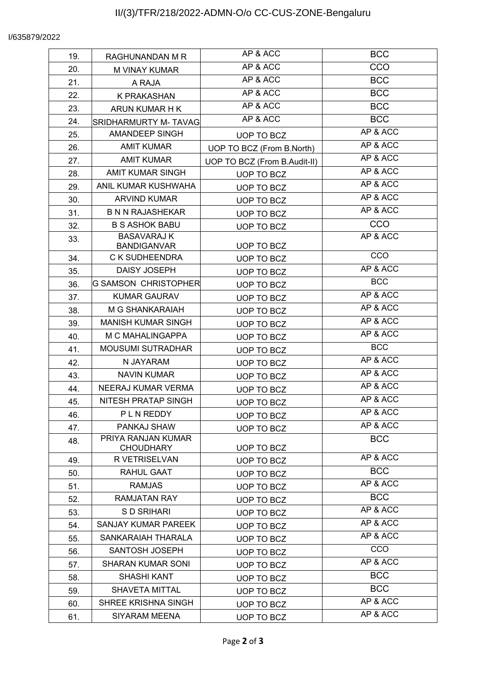#### I/635879/2022

| 19. | RAGHUNANDAN M R                      | AP & ACC                     | <b>BCC</b> |
|-----|--------------------------------------|------------------------------|------------|
| 20. | M VINAY KUMAR                        | AP & ACC                     | CCO        |
| 21. | A RAJA                               | AP & ACC                     | <b>BCC</b> |
| 22. | K PRAKASHAN                          | $\overline{AP\&}$ ACC        | <b>BCC</b> |
| 23. | ARUN KUMAR H K                       | AP & ACC                     | <b>BCC</b> |
| 24. | <b>SRIDHARMURTY M- TAVAG</b>         | AP & ACC                     | <b>BCC</b> |
| 25. | AMANDEEP SINGH                       | UOP TO BCZ                   | AP & ACC   |
| 26. | <b>AMIT KUMAR</b>                    | UOP TO BCZ (From B.North)    | AP & ACC   |
| 27. | <b>AMIT KUMAR</b>                    | UOP TO BCZ (From B.Audit-II) | AP & ACC   |
| 28. | <b>AMIT KUMAR SINGH</b>              | UOP TO BCZ                   | AP & ACC   |
| 29. | ANIL KUMAR KUSHWAHA                  | UOP TO BCZ                   | AP & ACC   |
| 30. | <b>ARVIND KUMAR</b>                  | UOP TO BCZ                   | AP & ACC   |
| 31. | <b>B N N RAJASHEKAR</b>              | UOP TO BCZ                   | AP & ACC   |
| 32. | <b>B S ASHOK BABU</b>                | UOP TO BCZ                   | CCO        |
| 33. | <b>BASAVARAJ K</b>                   |                              | AP & ACC   |
|     | <b>BANDIGANVAR</b><br>C K SUDHEENDRA | UOP TO BCZ                   | CCO        |
| 34. | DAISY JOSEPH                         | UOP TO BCZ                   | AP & ACC   |
| 35. | <b>G SAMSON CHRISTOPHER</b>          | <b>UOP TO BCZ</b>            | <b>BCC</b> |
| 36. | <b>KUMAR GAURAV</b>                  | UOP TO BCZ                   | AP & ACC   |
| 37. |                                      | UOP TO BCZ                   | AP & ACC   |
| 38. | M G SHANKARAIAH                      | UOP TO BCZ                   | AP & ACC   |
| 39. | <b>MANISH KUMAR SINGH</b>            | UOP TO BCZ                   | AP & ACC   |
| 40. | M C MAHALINGAPPA                     | UOP TO BCZ                   | <b>BCC</b> |
| 41. | <b>MOUSUMI SUTRADHAR</b>             | UOP TO BCZ                   | AP & ACC   |
| 42. | N JAYARAM                            | UOP TO BCZ                   | AP & ACC   |
| 43. | <b>NAVIN KUMAR</b>                   | UOP TO BCZ                   | AP & ACC   |
| 44. | NEERAJ KUMAR VERMA                   | UOP TO BCZ                   | AP & ACC   |
| 45. | NITESH PRATAP SINGH                  | UOP TO BCZ                   | AP & ACC   |
| 46. | <b>PLNREDDY</b>                      | UOP TO BCZ                   | AP & ACC   |
| 47. | PANKAJ SHAW<br>PRIYA RANJAN KUMAR    | UOP TO BCZ                   |            |
| 48. | <b>CHOUDHARY</b>                     | UOP TO BCZ                   | <b>BCC</b> |
| 49. | R VETRISELVAN                        | UOP TO BCZ                   | AP & ACC   |
| 50. | RAHUL GAAT                           | UOP TO BCZ                   | <b>BCC</b> |
| 51. | <b>RAMJAS</b>                        | UOP TO BCZ                   | AP & ACC   |
| 52. | RAMJATAN RAY                         | UOP TO BCZ                   | <b>BCC</b> |
| 53. | S D SRIHARI                          | UOP TO BCZ                   | AP & ACC   |
| 54. | SANJAY KUMAR PAREEK                  | UOP TO BCZ                   | AP & ACC   |
| 55. | SANKARAIAH THARALA                   | UOP TO BCZ                   | AP & ACC   |
| 56. | SANTOSH JOSEPH                       | UOP TO BCZ                   | CCO        |
| 57. | <b>SHARAN KUMAR SONI</b>             | UOP TO BCZ                   | AP & ACC   |
| 58. | SHASHI KANT                          | UOP TO BCZ                   | <b>BCC</b> |
| 59. | SHAVETA MITTAL                       | UOP TO BCZ                   | <b>BCC</b> |
| 60. | SHREE KRISHNA SINGH                  | UOP TO BCZ                   | AP & ACC   |
| 61. | SIYARAM MEENA                        | UOP TO BCZ                   | AP & ACC   |